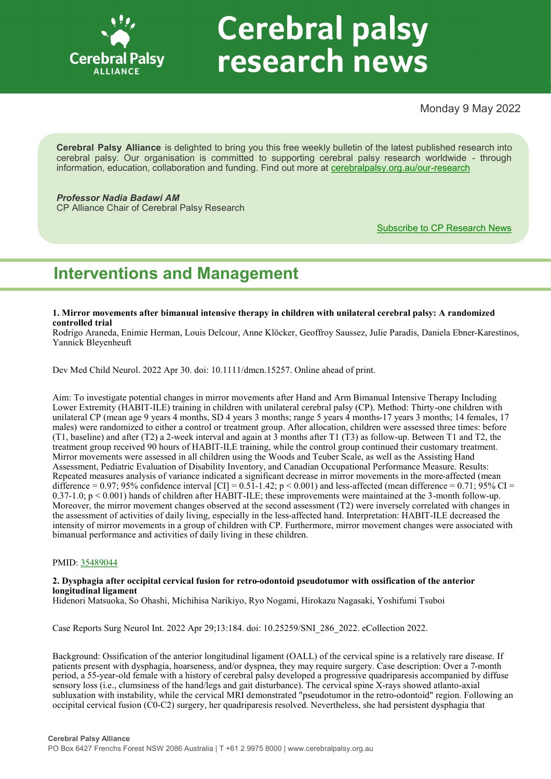

# **Cerebral palsy** research news

# Monday 9 May 2022

**Cerebral Palsy Alliance** is delighted to bring you this free weekly bulletin of the latest published research into cerebral palsy. Our organisation is committed to supporting cerebral palsy research worldwide - through information, education, collaboration and funding. Find out more at [cerebralpalsy.org.au/our](https://cerebralpalsy.org.au/our-research/)-research

# *Professor Nadia Badawi AM*

CP Alliance Chair of Cerebral Palsy Research

[Subscribe to CP Research News](https://cerebralpalsy.org.au/our-research/get-involved-research/cp-research-newsletters/)

# **Interventions and Management**

**1. Mirror movements after bimanual intensive therapy in children with unilateral cerebral palsy: A randomized controlled trial**

Rodrigo Araneda, Enimie Herman, Louis Delcour, Anne Klöcker, Geoffroy Saussez, Julie Paradis, Daniela Ebner-Karestinos, Yannick Bleyenheuft

Dev Med Child Neurol. 2022 Apr 30. doi: 10.1111/dmcn.15257. Online ahead of print.

Aim: To investigate potential changes in mirror movements after Hand and Arm Bimanual Intensive Therapy Including Lower Extremity (HABIT-ILE) training in children with unilateral cerebral palsy (CP). Method: Thirty-one children with unilateral CP (mean age 9 years 4 months, SD 4 years 3 months; range 5 years 4 months-17 years 3 months; 14 females, 17 males) were randomized to either a control or treatment group. After allocation, children were assessed three times: before (T1, baseline) and after (T2) a 2-week interval and again at 3 months after T1 (T3) as follow-up. Between T1 and T2, the treatment group received 90 hours of HABIT-ILE training, while the control group continued their customary treatment. Mirror movements were assessed in all children using the Woods and Teuber Scale, as well as the Assisting Hand Assessment, Pediatric Evaluation of Disability Inventory, and Canadian Occupational Performance Measure. Results: Repeated measures analysis of variance indicated a significant decrease in mirror movements in the more-affected (mean difference = 0.97; 95% confidence interval [CI] =  $0.51$ -1.42; p < 0.001) and less-affected (mean difference = 0.71; 95% CI = 0.37-1.0; p < 0.001) hands of children after HABIT-ILE; these improvements were maintained at the 3-month follow-up. Moreover, the mirror movement changes observed at the second assessment (T2) were inversely correlated with changes in the assessment of activities of daily living, especially in the less-affected hand. Interpretation: HABIT-ILE decreased the intensity of mirror movements in a group of children with CP. Furthermore, mirror movement changes were associated with bimanual performance and activities of daily living in these children.

# PMID: [35489044](http://www.ncbi.nlm.nih.gov/pubmed/35489044)

# **2. Dysphagia after occipital cervical fusion for retro-odontoid pseudotumor with ossification of the anterior longitudinal ligament**

Hidenori Matsuoka, So Ohashi, Michihisa Narikiyo, Ryo Nogami, Hirokazu Nagasaki, Yoshifumi Tsuboi

Case Reports Surg Neurol Int. 2022 Apr 29;13:184. doi: 10.25259/SNI\_286\_2022. eCollection 2022.

Background: Ossification of the anterior longitudinal ligament (OALL) of the cervical spine is a relatively rare disease. If patients present with dysphagia, hoarseness, and/or dyspnea, they may require surgery. Case description: Over a 7-month period, a 55-year-old female with a history of cerebral palsy developed a progressive quadriparesis accompanied by diffuse sensory loss (i.e., clumsiness of the hand/legs and gait disturbance). The cervical spine X-rays showed atlanto-axial subluxation with instability, while the cervical MRI demonstrated "pseudotumor in the retro-odontoid" region. Following an occipital cervical fusion (C0-C2) surgery, her quadriparesis resolved. Nevertheless, she had persistent dysphagia that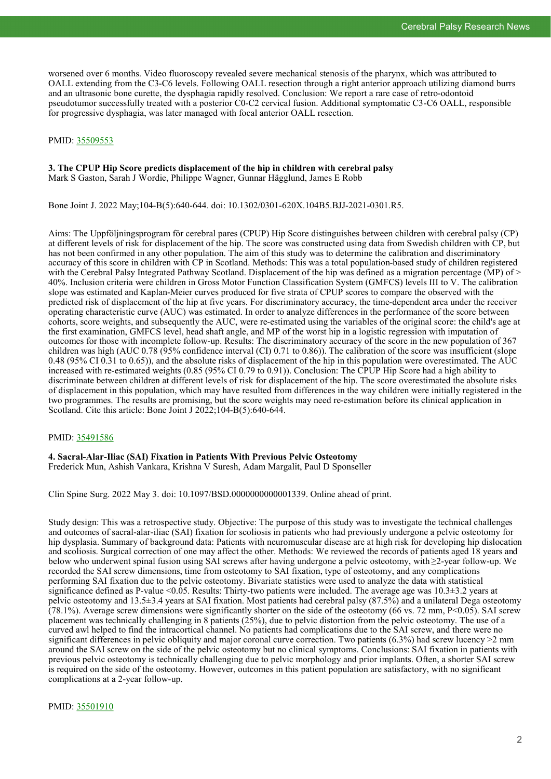worsened over 6 months. Video fluoroscopy revealed severe mechanical stenosis of the pharynx, which was attributed to OALL extending from the C3-C6 levels. Following OALL resection through a right anterior approach utilizing diamond burrs and an ultrasonic bone curette, the dysphagia rapidly resolved. Conclusion: We report a rare case of retro-odontoid pseudotumor successfully treated with a posterior C0-C2 cervical fusion. Additional symptomatic C3-C6 OALL, responsible for progressive dysphagia, was later managed with focal anterior OALL resection.

# PMID: [35509553](http://www.ncbi.nlm.nih.gov/pubmed/35509553)

## **3. The CPUP Hip Score predicts displacement of the hip in children with cerebral palsy** Mark S Gaston, Sarah J Wordie, Philippe Wagner, Gunnar Hägglund, James E Robb

Bone Joint J. 2022 May;104-B(5):640-644. doi: 10.1302/0301-620X.104B5.BJJ-2021-0301.R5.

Aims: The Uppföljningsprogram för cerebral pares (CPUP) Hip Score distinguishes between children with cerebral palsy (CP) at different levels of risk for displacement of the hip. The score was constructed using data from Swedish children with CP, but has not been confirmed in any other population. The aim of this study was to determine the calibration and discriminatory accuracy of this score in children with CP in Scotland. Methods: This was a total population-based study of children registered with the Cerebral Palsy Integrated Pathway Scotland. Displacement of the hip was defined as a migration percentage (MP) of  $\geq$ 40%. Inclusion criteria were children in Gross Motor Function Classification System (GMFCS) levels III to V. The calibration slope was estimated and Kaplan-Meier curves produced for five strata of CPUP scores to compare the observed with the predicted risk of displacement of the hip at five years. For discriminatory accuracy, the time-dependent area under the receiver operating characteristic curve (AUC) was estimated. In order to analyze differences in the performance of the score between cohorts, score weights, and subsequently the AUC, were re-estimated using the variables of the original score: the child's age at the first examination, GMFCS level, head shaft angle, and MP of the worst hip in a logistic regression with imputation of outcomes for those with incomplete follow-up. Results: The discriminatory accuracy of the score in the new population of 367 children was high (AUC 0.78 (95% confidence interval (CI) 0.71 to 0.86)). The calibration of the score was insufficient (slope 0.48 (95% CI 0.31 to 0.65)), and the absolute risks of displacement of the hip in this population were overestimated. The AUC increased with re-estimated weights (0.85 (95% CI 0.79 to 0.91)). Conclusion: The CPUP Hip Score had a high ability to discriminate between children at different levels of risk for displacement of the hip. The score overestimated the absolute risks of displacement in this population, which may have resulted from differences in the way children were initially registered in the two programmes. The results are promising, but the score weights may need re-estimation before its clinical application in Scotland. Cite this article: Bone Joint J 2022;104-B(5):640-644.

# PMID: [35491586](http://www.ncbi.nlm.nih.gov/pubmed/35491586)

**4. Sacral-Alar-Iliac (SAI) Fixation in Patients With Previous Pelvic Osteotomy** Frederick Mun, Ashish Vankara, Krishna V Suresh, Adam Margalit, Paul D Sponseller

Clin Spine Surg. 2022 May 3. doi: 10.1097/BSD.0000000000001339. Online ahead of print.

Study design: This was a retrospective study. Objective: The purpose of this study was to investigate the technical challenges and outcomes of sacral-alar-iliac (SAI) fixation for scoliosis in patients who had previously undergone a pelvic osteotomy for hip dysplasia. Summary of background data: Patients with neuromuscular disease are at high risk for developing hip dislocation and scoliosis. Surgical correction of one may affect the other. Methods: We reviewed the records of patients aged 18 years and below who underwent spinal fusion using SAI screws after having undergone a pelvic osteotomy, with ≥2-year follow-up. We recorded the SAI screw dimensions, time from osteotomy to SAI fixation, type of osteotomy, and any complications performing SAI fixation due to the pelvic osteotomy. Bivariate statistics were used to analyze the data with statistical significance defined as P-value <0.05. Results: Thirty-two patients were included. The average age was 10.3±3.2 years at pelvic osteotomy and 13.5±3.4 years at SAI fixation. Most patients had cerebral palsy (87.5%) and a unilateral Dega osteotomy (78.1%). Average screw dimensions were significantly shorter on the side of the osteotomy (66 vs. 72 mm,  $P<0.05$ ). SAI screw placement was technically challenging in 8 patients (25%), due to pelvic distortion from the pelvic osteotomy. The use of a curved awl helped to find the intracortical channel. No patients had complications due to the SAI screw, and there were no significant differences in pelvic obliquity and major coronal curve correction. Two patients (6.3%) had screw lucency >2 mm around the SAI screw on the side of the pelvic osteotomy but no clinical symptoms. Conclusions: SAI fixation in patients with previous pelvic osteotomy is technically challenging due to pelvic morphology and prior implants. Often, a shorter SAI screw is required on the side of the osteotomy. However, outcomes in this patient population are satisfactory, with no significant complications at a 2-year follow-up.

PMID: [35501910](http://www.ncbi.nlm.nih.gov/pubmed/35501910)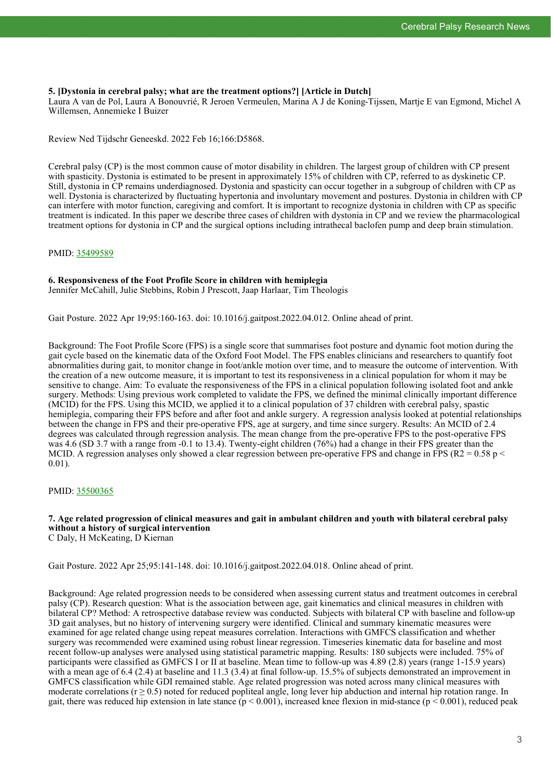# **5. [Dystonia in cerebral palsy; what are the treatment options?] [Article in Dutch]**

Laura A van de Pol, Laura A Bonouvrié, R Jeroen Vermeulen, Marina A J de Koning-Tijssen, Martje E van Egmond, Michel A Willemsen, Annemieke I Buizer

Review Ned Tijdschr Geneeskd. 2022 Feb 16;166:D5868.

Cerebral palsy (CP) is the most common cause of motor disability in children. The largest group of children with CP present with spasticity. Dystonia is estimated to be present in approximately 15% of children with CP, referred to as dyskinetic CP. Still, dystonia in CP remains underdiagnosed. Dystonia and spasticity can occur together in a subgroup of children with CP as well. Dystonia is characterized by fluctuating hypertonia and involuntary movement and postures. Dystonia in children with CP can interfere with motor function, caregiving and comfort. It is important to recognize dystonia in children with CP as specific treatment is indicated. In this paper we describe three cases of children with dystonia in CP and we review the pharmacological treatment options for dystonia in CP and the surgical options including intrathecal baclofen pump and deep brain stimulation.

# PMID: [35499589](http://www.ncbi.nlm.nih.gov/pubmed/35499589)

# **6. Responsiveness of the Foot Profile Score in children with hemiplegia**

Jennifer McCahill, Julie Stebbins, Robin J Prescott, Jaap Harlaar, Tim Theologis

Gait Posture. 2022 Apr 19;95:160-163. doi: 10.1016/j.gaitpost.2022.04.012. Online ahead of print.

Background: The Foot Profile Score (FPS) is a single score that summarises foot posture and dynamic foot motion during the gait cycle based on the kinematic data of the Oxford Foot Model. The FPS enables clinicians and researchers to quantify foot abnormalities during gait, to monitor change in foot/ankle motion over time, and to measure the outcome of intervention. With the creation of a new outcome measure, it is important to test its responsiveness in a clinical population for whom it may be sensitive to change. Aim: To evaluate the responsiveness of the FPS in a clinical population following isolated foot and ankle surgery. Methods: Using previous work completed to validate the FPS, we defined the minimal clinically important difference (MCID) for the FPS. Using this MCID, we applied it to a clinical population of 37 children with cerebral palsy, spastic hemiplegia, comparing their FPS before and after foot and ankle surgery. A regression analysis looked at potential relationships between the change in FPS and their pre-operative FPS, age at surgery, and time since surgery. Results: An MCID of 2.4 degrees was calculated through regression analysis. The mean change from the pre-operative FPS to the post-operative FPS was 4.6 (SD 3.7 with a range from -0.1 to 13.4). Twenty-eight children (76%) had a change in their FPS greater than the MCID. A regression analyses only showed a clear regression between pre-operative FPS and change in FPS ( $R2 = 0.58$  p  $\le$ 0.01).

# PMID: [35500365](http://www.ncbi.nlm.nih.gov/pubmed/35500365)

# **7. Age related progression of clinical measures and gait in ambulant children and youth with bilateral cerebral palsy without a history of surgical intervention** C Daly, H McKeating, D Kiernan

Gait Posture. 2022 Apr 25;95:141-148. doi: 10.1016/j.gaitpost.2022.04.018. Online ahead of print.

Background: Age related progression needs to be considered when assessing current status and treatment outcomes in cerebral palsy (CP). Research question: What is the association between age, gait kinematics and clinical measures in children with bilateral CP? Method: A retrospective database review was conducted. Subjects with bilateral CP with baseline and follow-up 3D gait analyses, but no history of intervening surgery were identified. Clinical and summary kinematic measures were examined for age related change using repeat measures correlation. Interactions with GMFCS classification and whether surgery was recommended were examined using robust linear regression. Timeseries kinematic data for baseline and most recent follow-up analyses were analysed using statistical parametric mapping. Results: 180 subjects were included. 75% of participants were classified as GMFCS I or II at baseline. Mean time to follow-up was 4.89 (2.8) years (range 1-15.9 years) with a mean age of 6.4 (2.4) at baseline and 11.3 (3.4) at final follow-up. 15.5% of subjects demonstrated an improvement in GMFCS classification while GDI remained stable. Age related progression was noted across many clinical measures with moderate correlations ( $r \ge 0.5$ ) noted for reduced popliteal angle, long lever hip abduction and internal hip rotation range. In gait, there was reduced hip extension in late stance  $(p < 0.001)$ , increased knee flexion in mid-stance  $(p < 0.001)$ , reduced peak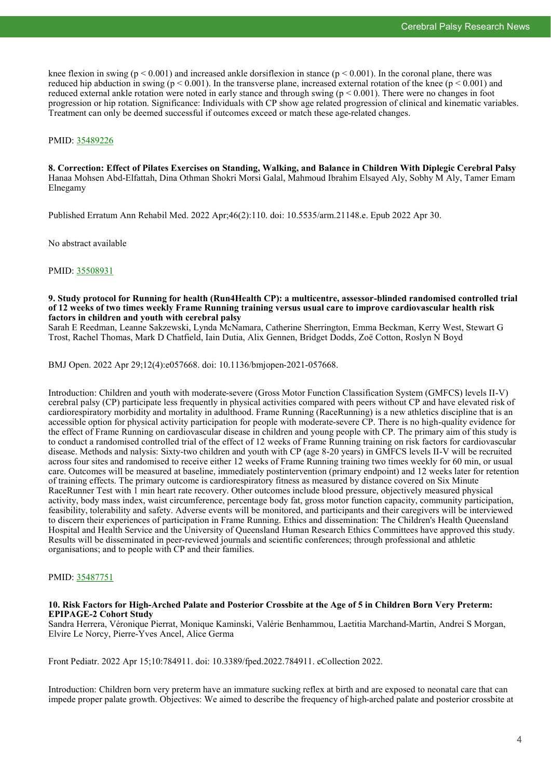knee flexion in swing ( $p \le 0.001$ ) and increased ankle dorsifiexion in stance ( $p \le 0.001$ ). In the coronal plane, there was reduced hip abduction in swing ( $p < 0.001$ ). In the transverse plane, increased external rotation of the knee ( $p < 0.001$ ) and reduced external ankle rotation were noted in early stance and through swing ( $p < 0.001$ ). There were no changes in foot progression or hip rotation. Significance: Individuals with CP show age related progression of clinical and kinematic variables. Treatment can only be deemed successful if outcomes exceed or match these age-related changes.

# PMID: [35489226](http://www.ncbi.nlm.nih.gov/pubmed/35489226)

# **8. Correction: Effect of Pilates Exercises on Standing, Walking, and Balance in Children With Diplegic Cerebral Palsy** Hanaa Mohsen Abd-Elfattah, Dina Othman Shokri Morsi Galal, Mahmoud Ibrahim Elsayed Aly, Sobhy M Aly, Tamer Emam Elnegamy

Published Erratum Ann Rehabil Med. 2022 Apr;46(2):110. doi: 10.5535/arm.21148.e. Epub 2022 Apr 30.

No abstract available

PMID: [35508931](http://www.ncbi.nlm.nih.gov/pubmed/35508931)

# **9. Study protocol for Running for health (Run4Health CP): a multicentre, assessor-blinded randomised controlled trial of 12 weeks of two times weekly Frame Running training versus usual care to improve cardiovascular health risk factors in children and youth with cerebral palsy**

Sarah E Reedman, Leanne Sakzewski, Lynda McNamara, Catherine Sherrington, Emma Beckman, Kerry West, Stewart G Trost, Rachel Thomas, Mark D Chatfield, Iain Dutia, Alix Gennen, Bridget Dodds, Zoë Cotton, Roslyn N Boyd

BMJ Open. 2022 Apr 29;12(4):e057668. doi: 10.1136/bmjopen-2021-057668.

Introduction: Children and youth with moderate-severe (Gross Motor Function Classification System (GMFCS) levels II-V) cerebral palsy (CP) participate less frequently in physical activities compared with peers without CP and have elevated risk of cardiorespiratory morbidity and mortality in adulthood. Frame Running (RaceRunning) is a new athletics discipline that is an accessible option for physical activity participation for people with moderate-severe CP. There is no high-quality evidence for the effect of Frame Running on cardiovascular disease in children and young people with CP. The primary aim of this study is to conduct a randomised controlled trial of the effect of 12 weeks of Frame Running training on risk factors for cardiovascular disease. Methods and nalysis: Sixty-two children and youth with CP (age 8-20 years) in GMFCS levels II-V will be recruited across four sites and randomised to receive either 12 weeks of Frame Running training two times weekly for 60 min, or usual care. Outcomes will be measured at baseline, immediately postintervention (primary endpoint) and 12 weeks later for retention of training effects. The primary outcome is cardiorespiratory fitness as measured by distance covered on Six Minute RaceRunner Test with 1 min heart rate recovery. Other outcomes include blood pressure, objectively measured physical activity, body mass index, waist circumference, percentage body fat, gross motor function capacity, community participation, feasibility, tolerability and safety. Adverse events will be monitored, and participants and their caregivers will be interviewed to discern their experiences of participation in Frame Running. Ethics and dissemination: The Children's Health Queensland Hospital and Health Service and the University of Queensland Human Research Ethics Committees have approved this study. Results will be disseminated in peer-reviewed journals and scientific conferences; through professional and athletic organisations; and to people with CP and their families.

# PMID: [35487751](http://www.ncbi.nlm.nih.gov/pubmed/35487751)

#### **10. Risk Factors for High-Arched Palate and Posterior Crossbite at the Age of 5 in Children Born Very Preterm: EPIPAGE-2 Cohort Study**

Sandra Herrera, Véronique Pierrat, Monique Kaminski, Valérie Benhammou, Laetitia Marchand-Martin, Andrei S Morgan, Elvire Le Norcy, Pierre-Yves Ancel, Alice Germa

Front Pediatr. 2022 Apr 15;10:784911. doi: 10.3389/fped.2022.784911. eCollection 2022.

Introduction: Children born very preterm have an immature sucking reflex at birth and are exposed to neonatal care that can impede proper palate growth. Objectives: We aimed to describe the frequency of high-arched palate and posterior crossbite at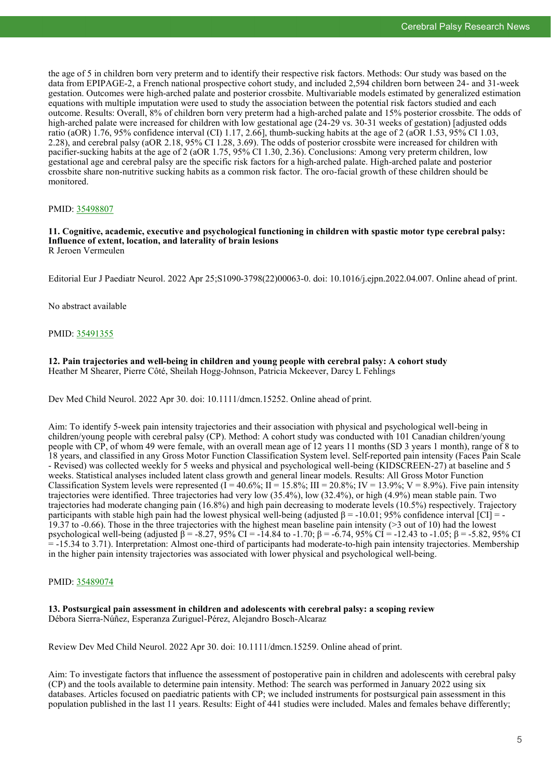the age of 5 in children born very preterm and to identify their respective risk factors. Methods: Our study was based on the data from EPIPAGE-2, a French national prospective cohort study, and included 2,594 children born between 24- and 31-week gestation. Outcomes were high-arched palate and posterior crossbite. Multivariable models estimated by generalized estimation equations with multiple imputation were used to study the association between the potential risk factors studied and each outcome. Results: Overall, 8% of children born very preterm had a high-arched palate and 15% posterior crossbite. The odds of high-arched palate were increased for children with low gestational age (24-29 vs. 30-31 weeks of gestation) [adjusted odds ratio (aOR)  $1.76$ , 95% confidence interval (CI) 1.17, 2.66], thumb-sucking habits at the age of 2 (aOR 1.53, 95% CI 1.03, 2.28), and cerebral palsy (aOR 2.18, 95% CI 1.28, 3.69). The odds of posterior crossbite were increased for children with pacifier-sucking habits at the age of 2 (aOR 1.75, 95% CI 1.30, 2.36). Conclusions: Among very preterm children, low gestational age and cerebral palsy are the specific risk factors for a high-arched palate. High-arched palate and posterior crossbite share non-nutritive sucking habits as a common risk factor. The oro-facial growth of these children should be monitored.

# PMID: [35498807](http://www.ncbi.nlm.nih.gov/pubmed/35498807)

#### **11. Cognitive, academic, executive and psychological functioning in children with spastic motor type cerebral palsy: Influence of extent, location, and laterality of brain lesions** R Jeroen Vermeulen

Editorial Eur J Paediatr Neurol. 2022 Apr 25;S1090-3798(22)00063-0. doi: 10.1016/j.ejpn.2022.04.007. Online ahead of print.

No abstract available

# PMID: [35491355](http://www.ncbi.nlm.nih.gov/pubmed/35491355)

**12. Pain trajectories and well-being in children and young people with cerebral palsy: A cohort study** Heather M Shearer, Pierre Côté, Sheilah Hogg-Johnson, Patricia Mckeever, Darcy L Fehlings

Dev Med Child Neurol. 2022 Apr 30. doi: 10.1111/dmcn.15252. Online ahead of print.

Aim: To identify 5-week pain intensity trajectories and their association with physical and psychological well-being in children/young people with cerebral palsy (CP). Method: A cohort study was conducted with 101 Canadian children/young people with CP, of whom 49 were female, with an overall mean age of 12 years 11 months (SD 3 years 1 month), range of 8 to 18 years, and classified in any Gross Motor Function Classification System level. Self-reported pain intensity (Faces Pain Scale - Revised) was collected weekly for 5 weeks and physical and psychological well-being (KIDSCREEN-27) at baseline and 5 weeks. Statistical analyses included latent class growth and general linear models. Results: All Gross Motor Function Classification System levels were represented  $(I = 40.6\%; II = 15.8\%; III = 20.8\%; IV = 13.9\%; V = 8.9\%).$  Five pain intensity trajectories were identified. Three trajectories had very low (35.4%), low (32.4%), or high (4.9%) mean stable pain. Two trajectories had moderate changing pain (16.8%) and high pain decreasing to moderate levels (10.5%) respectively. Trajectory participants with stable high pain had the lowest physical well-being (adjusted β = -10.01; 95% confidence interval [CI] = - 19.37 to -0.66). Those in the three trajectories with the highest mean baseline pain intensity (>3 out of 10) had the lowest psychological well-being (adjusted β = -8.27, 95% CI = -14.84 to -1.70; β = -6.74, 95% CI = -12.43 to -1.05; β = -5.82, 95% CI = -15.34 to 3.71). Interpretation: Almost one-third of participants had moderate-to-high pain intensity trajectories. Membership in the higher pain intensity trajectories was associated with lower physical and psychological well-being.

#### PMID: [35489074](http://www.ncbi.nlm.nih.gov/pubmed/35489074)

#### **13. Postsurgical pain assessment in children and adolescents with cerebral palsy: a scoping review** Débora Sierra-Núñez, Esperanza Zuriguel-Pérez, Alejandro Bosch-Alcaraz

Review Dev Med Child Neurol. 2022 Apr 30. doi: 10.1111/dmcn.15259. Online ahead of print.

Aim: To investigate factors that influence the assessment of postoperative pain in children and adolescents with cerebral palsy (CP) and the tools available to determine pain intensity. Method: The search was performed in January 2022 using six databases. Articles focused on paediatric patients with CP; we included instruments for postsurgical pain assessment in this population published in the last 11 years. Results: Eight of 441 studies were included. Males and females behave differently;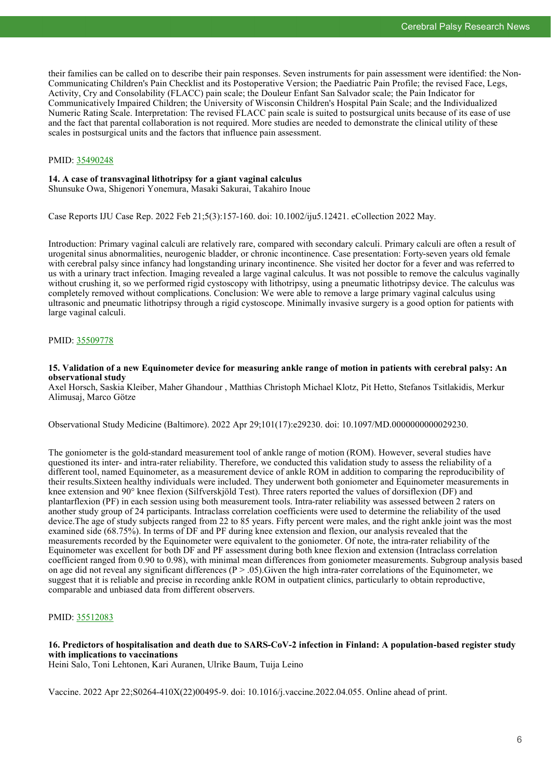their families can be called on to describe their pain responses. Seven instruments for pain assessment were identified: the Non-Communicating Children's Pain Checklist and its Postoperative Version; the Paediatric Pain Profile; the revised Face, Legs, Activity, Cry and Consolability (FLACC) pain scale; the Douleur Enfant San Salvador scale; the Pain Indicator for Communicatively Impaired Children; the University of Wisconsin Children's Hospital Pain Scale; and the Individualized Numeric Rating Scale. Interpretation: The revised FLACC pain scale is suited to postsurgical units because of its ease of use and the fact that parental collaboration is not required. More studies are needed to demonstrate the clinical utility of these scales in postsurgical units and the factors that influence pain assessment.

# PMID: [35490248](http://www.ncbi.nlm.nih.gov/pubmed/35490248)

# **14. A case of transvaginal lithotripsy for a giant vaginal calculus**

Shunsuke Owa, Shigenori Yonemura, Masaki Sakurai, Takahiro Inoue

Case Reports IJU Case Rep. 2022 Feb 21;5(3):157-160. doi: 10.1002/iju5.12421. eCollection 2022 May.

Introduction: Primary vaginal calculi are relatively rare, compared with secondary calculi. Primary calculi are often a result of urogenital sinus abnormalities, neurogenic bladder, or chronic incontinence. Case presentation: Forty-seven years old female with cerebral palsy since infancy had longstanding urinary incontinence. She visited her doctor for a fever and was referred to us with a urinary tract infection. Imaging revealed a large vaginal calculus. It was not possible to remove the calculus vaginally without crushing it, so we performed rigid cystoscopy with lithotripsy, using a pneumatic lithotripsy device. The calculus was completely removed without complications. Conclusion: We were able to remove a large primary vaginal calculus using ultrasonic and pneumatic lithotripsy through a rigid cystoscope. Minimally invasive surgery is a good option for patients with large vaginal calculi.

# PMID: [35509778](http://www.ncbi.nlm.nih.gov/pubmed/35509778)

# **15. Validation of a new Equinometer device for measuring ankle range of motion in patients with cerebral palsy: An observational study**

Axel Horsch, Saskia Kleiber, Maher Ghandour , Matthias Christoph Michael Klotz, Pit Hetto, Stefanos Tsitlakidis, Merkur Alimusaj, Marco Götze

Observational Study Medicine (Baltimore). 2022 Apr 29;101(17):e29230. doi: 10.1097/MD.0000000000029230.

The goniometer is the gold-standard measurement tool of ankle range of motion (ROM). However, several studies have questioned its inter- and intra-rater reliability. Therefore, we conducted this validation study to assess the reliability of a different tool, named Equinometer, as a measurement device of ankle ROM in addition to comparing the reproducibility of their results.Sixteen healthy individuals were included. They underwent both goniometer and Equinometer measurements in knee extension and 90° knee flexion (Silfverskjöld Test). Three raters reported the values of dorsiflexion (DF) and plantarflexion (PF) in each session using both measurement tools. Intra-rater reliability was assessed between 2 raters on another study group of 24 participants. Intraclass correlation coefficients were used to determine the reliability of the used device.The age of study subjects ranged from 22 to 85 years. Fifty percent were males, and the right ankle joint was the most examined side (68.75%). In terms of DF and PF during knee extension and flexion, our analysis revealed that the measurements recorded by the Equinometer were equivalent to the goniometer. Of note, the intra-rater reliability of the Equinometer was excellent for both DF and PF assessment during both knee flexion and extension (Intraclass correlation coefficient ranged from 0.90 to 0.98), with minimal mean differences from goniometer measurements. Subgroup analysis based on age did not reveal any significant differences ( $P > .05$ ). Given the high intra-rater correlations of the Equinometer, we suggest that it is reliable and precise in recording ankle ROM in outpatient clinics, particularly to obtain reproductive, comparable and unbiased data from different observers.

# PMID: [35512083](http://www.ncbi.nlm.nih.gov/pubmed/35512083)

# **16. Predictors of hospitalisation and death due to SARS-CoV-2 infection in Finland: A population-based register study with implications to vaccinations**

Heini Salo, Toni Lehtonen, Kari Auranen, Ulrike Baum, Tuija Leino

Vaccine. 2022 Apr 22;S0264-410X(22)00495-9. doi: 10.1016/j.vaccine.2022.04.055. Online ahead of print.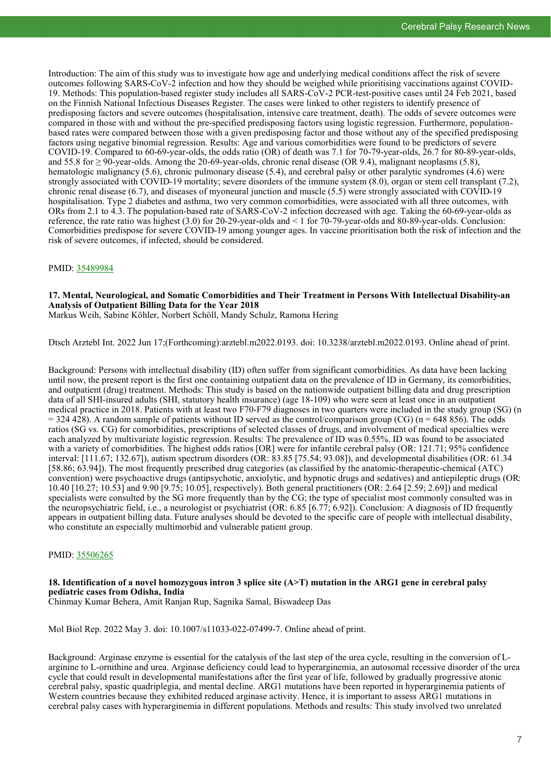Introduction: The aim of this study was to investigate how age and underlying medical conditions affect the risk of severe outcomes following SARS-CoV-2 infection and how they should be weighed while prioritising vaccinations against COVID-19. Methods: This population-based register study includes all SARS-CoV-2 PCR-test-positive cases until 24 Feb 2021, based on the Finnish National Infectious Diseases Register. The cases were linked to other registers to identify presence of predisposing factors and severe outcomes (hospitalisation, intensive care treatment, death). The odds of severe outcomes were compared in those with and without the pre-specified predisposing factors using logistic regression. Furthermore, populationbased rates were compared between those with a given predisposing factor and those without any of the specified predisposing factors using negative binomial regression. Results: Age and various comorbidities were found to be predictors of severe COVID-19. Compared to 60-69-year-olds, the odds ratio (OR) of death was 7.1 for 70-79-year-olds, 26.7 for 80-89-year-olds, and 55.8 for  $\geq$  90-year-olds. Among the 20-69-year-olds, chronic renal disease (OR 9.4), malignant neoplasms (5.8), hematologic malignancy (5.6), chronic pulmonary disease (5.4), and cerebral palsy or other paralytic syndromes (4.6) were strongly associated with COVID-19 mortality; severe disorders of the immune system (8.0), organ or stem cell transplant (7.2), chronic renal disease (6.7), and diseases of myoneural junction and muscle (5.5) were strongly associated with COVID-19 hospitalisation. Type 2 diabetes and asthma, two very common comorbidities, were associated with all three outcomes, with ORs from 2.1 to 4.3. The population-based rate of SARS-CoV-2 infection decreased with age. Taking the 60-69-year-olds as reference, the rate ratio was highest (3.0) for 20-29-year-olds and < 1 for 70-79-year-olds and 80-89-year-olds. Conclusion: Comorbidities predispose for severe COVID-19 among younger ages. In vaccine prioritisation both the risk of infection and the risk of severe outcomes, if infected, should be considered.

# PMID: [35489984](http://www.ncbi.nlm.nih.gov/pubmed/35489984)

# **17. Mental, Neurological, and Somatic Comorbidities and Their Treatment in Persons With Intellectual Disability-an Analysis of Outpatient Billing Data for the Year 2018**

Markus Weih, Sabine Köhler, Norbert Schöll, Mandy Schulz, Ramona Hering

Dtsch Arztebl Int. 2022 Jun 17;(Forthcoming):arztebl.m2022.0193. doi: 10.3238/arztebl.m2022.0193. Online ahead of print.

Background: Persons with intellectual disability (ID) often suffer from significant comorbidities. As data have been lacking until now, the present report is the first one containing outpatient data on the prevalence of ID in Germany, its comorbidities, and outpatient (drug) treatment. Methods: This study is based on the nationwide outpatient billing data and drug prescription data of all SHI-insured adults (SHI, statutory health insurance) (age 18-109) who were seen at least once in an outpatient medical practice in 2018. Patients with at least two F70-F79 diagnoses in two quarters were included in the study group (SG) (n  $=$  324 428). A random sample of patients without ID served as the control/comparison group (CG) (n = 648 856). The odds ratios (SG vs. CG) for comorbidities, prescriptions of selected classes of drugs, and involvement of medical specialties were each analyzed by multivariate logistic regression. Results: The prevalence of ID was 0.55%. ID was found to be associated with a variety of comorbidities. The highest odds ratios [OR] were for infantile cerebral palsy (OR: 121.71; 95% confidence interval: [111.67; 132.67]), autism spectrum disorders (OR: 83.85 [75.54; 93.08]), and developmental disabilities (OR: 61.34 [58.86; 63.94]). The most frequently prescribed drug categories (as classified by the anatomic-therapeutic-chemical (ATC) convention) were psychoactive drugs (antipsychotic, anxiolytic, and hypnotic drugs and sedatives) and antiepileptic drugs (OR: 10.40 [10.27; 10.53] and 9.90 [9.75; 10.05], respectively). Both general practitioners (OR: 2.64 [2.59; 2.69]) and medical specialists were consulted by the SG more frequently than by the CG; the type of specialist most commonly consulted was in the neuropsychiatric field, i.e., a neurologist or psychiatrist (OR: 6.85 [6.77; 6.92]). Conclusion: A diagnosis of ID frequently appears in outpatient billing data. Future analyses should be devoted to the specific care of people with intellectual disability, who constitute an especially multimorbid and vulnerable patient group.

# PMID: [35506265](http://www.ncbi.nlm.nih.gov/pubmed/35506265)

# **18. Identification of a novel homozygous intron 3 splice site (A>T) mutation in the ARG1 gene in cerebral palsy pediatric cases from Odisha, India**

Chinmay Kumar Behera, Amit Ranjan Rup, Sagnika Samal, Biswadeep Das

Mol Biol Rep. 2022 May 3. doi: 10.1007/s11033-022-07499-7. Online ahead of print.

Background: Arginase enzyme is essential for the catalysis of the last step of the urea cycle, resulting in the conversion of Larginine to L-ornithine and urea. Arginase deficiency could lead to hyperarginemia, an autosomal recessive disorder of the urea cycle that could result in developmental manifestations after the first year of life, followed by gradually progressive atonic cerebral palsy, spastic quadriplegia, and mental decline. ARG1 mutations have been reported in hyperarginemia patients of Western countries because they exhibited reduced arginase activity. Hence, it is important to assess ARG1 mutations in cerebral palsy cases with hyperarginemia in different populations. Methods and results: This study involved two unrelated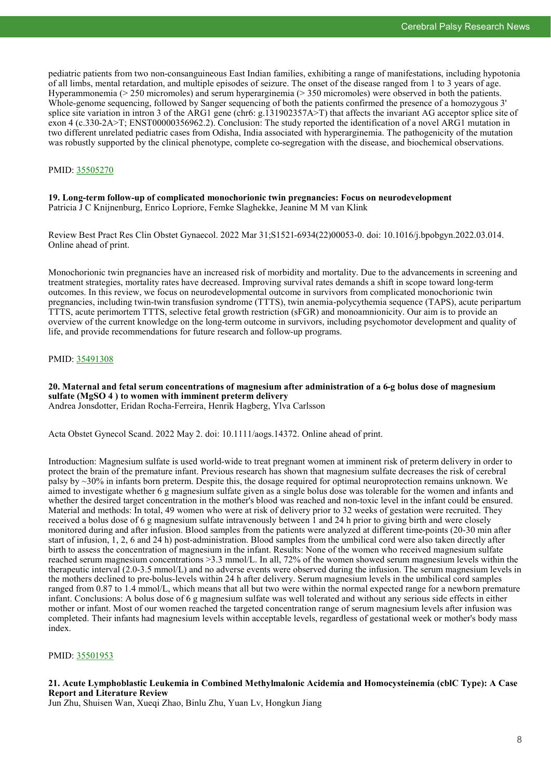pediatric patients from two non-consanguineous East Indian families, exhibiting a range of manifestations, including hypotonia of all limbs, mental retardation, and multiple episodes of seizure. The onset of the disease ranged from 1 to 3 years of age. Hyperammonemia (> 250 micromoles) and serum hyperarginemia (> 350 micromoles) were observed in both the patients. Whole-genome sequencing, followed by Sanger sequencing of both the patients confirmed the presence of a homozygous 3' splice site variation in intron 3 of the ARG1 gene (chr6: g.131902357A>T) that affects the invariant AG acceptor splice site of exon 4 (c.330-2A>T; ENST00000356962.2). Conclusion: The study reported the identification of a novel ARG1 mutation in two different unrelated pediatric cases from Odisha, India associated with hyperarginemia. The pathogenicity of the mutation was robustly supported by the clinical phenotype, complete co-segregation with the disease, and biochemical observations.

# PMID: [35505270](http://www.ncbi.nlm.nih.gov/pubmed/35505270)

# **19. Long-term follow-up of complicated monochorionic twin pregnancies: Focus on neurodevelopment** Patricia J C Knijnenburg, Enrico Lopriore, Femke Slaghekke, Jeanine M M van Klink

Review Best Pract Res Clin Obstet Gynaecol. 2022 Mar 31;S1521-6934(22)00053-0. doi: 10.1016/j.bpobgyn.2022.03.014. Online ahead of print.

Monochorionic twin pregnancies have an increased risk of morbidity and mortality. Due to the advancements in screening and treatment strategies, mortality rates have decreased. Improving survival rates demands a shift in scope toward long-term outcomes. In this review, we focus on neurodevelopmental outcome in survivors from complicated monochorionic twin pregnancies, including twin-twin transfusion syndrome (TTTS), twin anemia-polycythemia sequence (TAPS), acute peripartum TTTS, acute perimortem TTTS, selective fetal growth restriction (sFGR) and monoamnionicity. Our aim is to provide an overview of the current knowledge on the long-term outcome in survivors, including psychomotor development and quality of life, and provide recommendations for future research and follow-up programs.

# PMID: [35491308](http://www.ncbi.nlm.nih.gov/pubmed/35491308)

# **20. Maternal and fetal serum concentrations of magnesium after administration of a 6-g bolus dose of magnesium sulfate (MgSO 4 ) to women with imminent preterm delivery** Andrea Jonsdotter, Eridan Rocha-Ferreira, Henrik Hagberg, Ylva Carlsson

Acta Obstet Gynecol Scand. 2022 May 2. doi: 10.1111/aogs.14372. Online ahead of print.

Introduction: Magnesium sulfate is used world-wide to treat pregnant women at imminent risk of preterm delivery in order to protect the brain of the premature infant. Previous research has shown that magnesium sulfate decreases the risk of cerebral palsy by ~30% in infants born preterm. Despite this, the dosage required for optimal neuroprotection remains unknown. We aimed to investigate whether 6 g magnesium sulfate given as a single bolus dose was tolerable for the women and infants and whether the desired target concentration in the mother's blood was reached and non-toxic level in the infant could be ensured. Material and methods: In total, 49 women who were at risk of delivery prior to 32 weeks of gestation were recruited. They received a bolus dose of 6 g magnesium sulfate intravenously between 1 and 24 h prior to giving birth and were closely monitored during and after infusion. Blood samples from the patients were analyzed at different time-points (20-30 min after start of infusion, 1, 2, 6 and 24 h) post-administration. Blood samples from the umbilical cord were also taken directly after birth to assess the concentration of magnesium in the infant. Results: None of the women who received magnesium sulfate reached serum magnesium concentrations >3.3 mmol/L. In all, 72% of the women showed serum magnesium levels within the therapeutic interval (2.0-3.5 mmol/L) and no adverse events were observed during the infusion. The serum magnesium levels in the mothers declined to pre-bolus-levels within 24 h after delivery. Serum magnesium levels in the umbilical cord samples ranged from 0.87 to 1.4 mmol/L, which means that all but two were within the normal expected range for a newborn premature infant. Conclusions: A bolus dose of 6 g magnesium sulfate was well tolerated and without any serious side effects in either mother or infant. Most of our women reached the targeted concentration range of serum magnesium levels after infusion was completed. Their infants had magnesium levels within acceptable levels, regardless of gestational week or mother's body mass index.

# PMID: [35501953](http://www.ncbi.nlm.nih.gov/pubmed/35501953)

# **21. Acute Lymphoblastic Leukemia in Combined Methylmalonic Acidemia and Homocysteinemia (cblC Type): A Case Report and Literature Review**

Jun Zhu, Shuisen Wan, Xueqi Zhao, Binlu Zhu, Yuan Lv, Hongkun Jiang